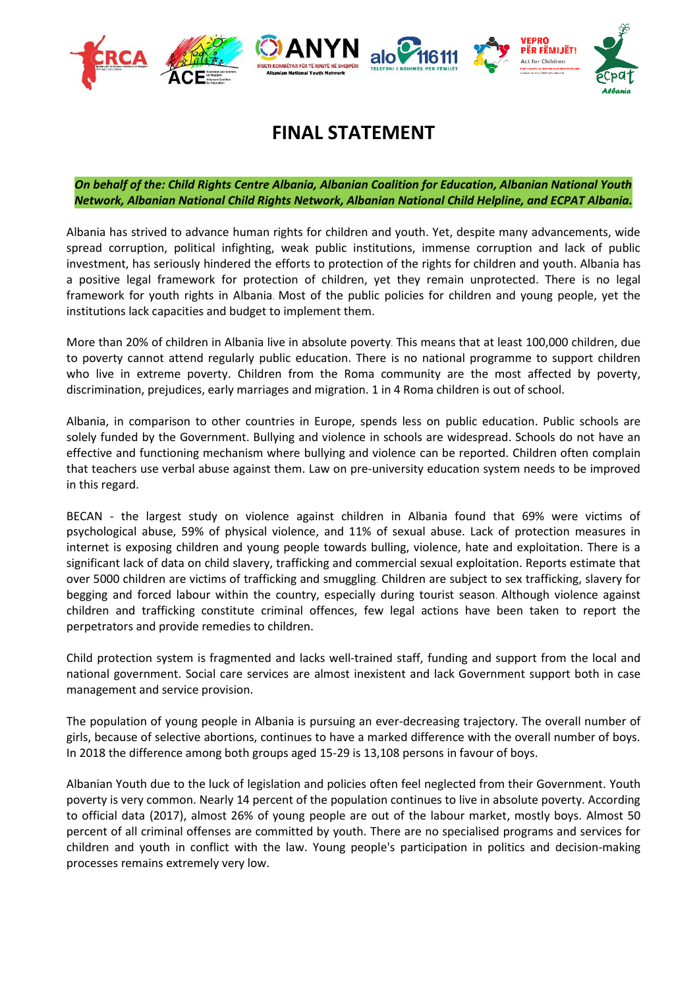

## **FINAL STATEMENT**

*On behalf of the: Child Rights Centre Albania, Albanian Coalition for Education, Albanian National Youth Network, Albanian National Child Rights Network, Albanian National Child Helpline, and ECPAT Albania.*

Albania has strived to advance human rights for children and youth. Yet, despite many advancements, wide spread corruption, political infighting, weak public institutions, immense corruption and lack of public investment, has seriously hindered the efforts to protection of the rights for children and youth. Albania has a positive legal framework for protection of children, yet they remain unprotected. There is no legal framework for youth rights in Albania. Most of the public policies for children and young people, yet the institutions lack capacities and budget to implement them.

More than 20% of children in Albania live in absolute poverty. This means that at least 100,000 children, due to poverty cannot attend regularly public education. There is no national programme to support children who live in extreme poverty. Children from the Roma community are the most affected by poverty, discrimination, prejudices, early marriages and migration. 1 in 4 Roma children is out of school.

Albania, in comparison to other countries in Europe, spends less on public education. Public schools are solely funded by the Government. Bullying and violence in schools are widespread. Schools do not have an effective and functioning mechanism where bullying and violence can be reported. Children often complain that teachers use verbal abuse against them. Law on pre-university education system needs to be improved in this regard.

BECAN - the largest study on violence against children in Albania found that 69% were victims of psychological abuse, 59% of physical violence, and 11% of sexual abuse. Lack of protection measures in internet is exposing children and young people towards bulling, violence, hate and exploitation. There is a significant lack of data on child slavery, trafficking and commercial sexual exploitation. Reports estimate that over 5000 children are victims of trafficking and smuggling. Children are subject to sex trafficking, slavery for begging and forced labour within the country, especially during tourist season. Although violence against children and trafficking constitute criminal offences, few legal actions have been taken to report the perpetrators and provide remedies to children.

Child protection system is fragmented and lacks well-trained staff, funding and support from the local and national government. Social care services are almost inexistent and lack Government support both in case management and service provision.

The population of young people in Albania is pursuing an ever-decreasing trajectory. The overall number of girls, because of selective abortions, continues to have a marked difference with the overall number of boys. In 2018 the difference among both groups aged 15-29 is 13,108 persons in favour of boys.

Albanian Youth due to the luck of legislation and policies often feel neglected from their Government. Youth poverty is very common. Nearly 14 percent of the population continues to live in absolute poverty. According to official data (2017), almost 26% of young people are out of the labour market, mostly boys. Almost 50 percent of all criminal offenses are committed by youth. There are no specialised programs and services for children and youth in conflict with the law. Young people's participation in politics and decision-making processes remains extremely very low.